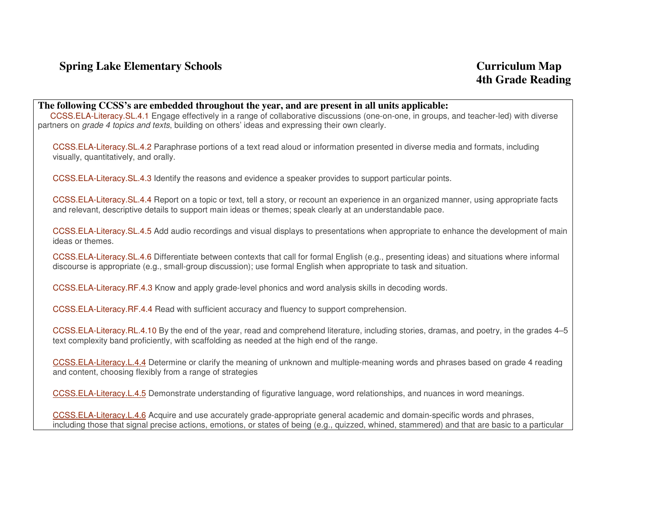## **The following CCSS's are embedded throughout the year, and are present in all units applicable:**

 CCSS.ELA-Literacy.SL.4.1 Engage effectively in a range of collaborative discussions (one-on-one, in groups, and teacher-led) with diverse partners on grade 4 topics and texts, building on others' ideas and expressing their own clearly.

CCSS.ELA-Literacy.SL.4.2 Paraphrase portions of a text read aloud or information presented in diverse media and formats, including visually, quantitatively, and orally.

CCSS.ELA-Literacy.SL.4.3 Identify the reasons and evidence a speaker provides to support particular points.

CCSS.ELA-Literacy.SL.4.4 Report on a topic or text, tell a story, or recount an experience in an organized manner, using appropriate facts and relevant, descriptive details to support main ideas or themes; speak clearly at an understandable pace.

CCSS.ELA-Literacy.SL.4.5 Add audio recordings and visual displays to presentations when appropriate to enhance the development of main ideas or themes.

CCSS.ELA-Literacy.SL.4.6 Differentiate between contexts that call for formal English (e.g., presenting ideas) and situations where informal discourse is appropriate (e.g., small-group discussion); use formal English when appropriate to task and situation.

CCSS.ELA-Literacy.RF.4.3 Know and apply grade-level phonics and word analysis skills in decoding words.

CCSS.ELA-Literacy.RF.4.4 Read with sufficient accuracy and fluency to support comprehension.

CCSS.ELA-Literacy.RL.4.10 By the end of the year, read and comprehend literature, including stories, dramas, and poetry, in the grades 4–5 text complexity band proficiently, with scaffolding as needed at the high end of the range.

CCSS.ELA-Literacy.L.4.4 Determine or clarify the meaning of unknown and multiple-meaning words and phrases based on grade 4 reading and content, choosing flexibly from a range of strategies

CCSS.ELA-Literacy.L.4.5 Demonstrate understanding of figurative language, word relationships, and nuances in word meanings.

CCSS.ELA-Literacy.L.4.6 Acquire and use accurately grade-appropriate general academic and domain-specific words and phrases, including those that signal precise actions, emotions, or states of being (e.g., quizzed, whined, stammered) and that are basic to a particular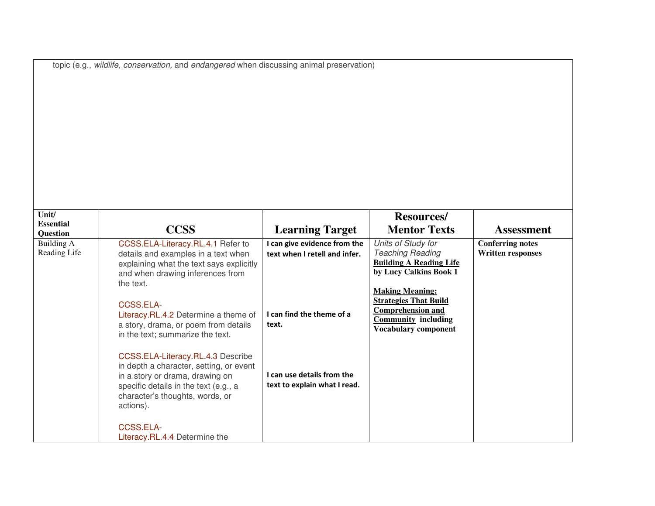|  |  | topic (e.g., wildlife, conservation, and endangered when discussing animal preservation) |  |  |  |
|--|--|------------------------------------------------------------------------------------------|--|--|--|
|  |  |                                                                                          |  |  |  |

| <b>CCSS</b>                              | <b>Learning Target</b>                                                                                                                                                                                                                                                                                                                                                                  | <b>Mentor Texts</b>          | <b>Assessment</b>                                                                                                                                                                                                                |
|------------------------------------------|-----------------------------------------------------------------------------------------------------------------------------------------------------------------------------------------------------------------------------------------------------------------------------------------------------------------------------------------------------------------------------------------|------------------------------|----------------------------------------------------------------------------------------------------------------------------------------------------------------------------------------------------------------------------------|
| CCSS.ELA-Literacy.RL.4.1 Refer to        | I can give evidence from the                                                                                                                                                                                                                                                                                                                                                            | Units of Study for           | <b>Conferring notes</b>                                                                                                                                                                                                          |
| details and examples in a text when      | text when I retell and infer.                                                                                                                                                                                                                                                                                                                                                           | <b>Teaching Reading</b>      | <b>Written responses</b>                                                                                                                                                                                                         |
| explaining what the text says explicitly |                                                                                                                                                                                                                                                                                                                                                                                         |                              |                                                                                                                                                                                                                                  |
| and when drawing inferences from         |                                                                                                                                                                                                                                                                                                                                                                                         |                              |                                                                                                                                                                                                                                  |
| the text.                                |                                                                                                                                                                                                                                                                                                                                                                                         |                              |                                                                                                                                                                                                                                  |
|                                          |                                                                                                                                                                                                                                                                                                                                                                                         |                              |                                                                                                                                                                                                                                  |
|                                          |                                                                                                                                                                                                                                                                                                                                                                                         |                              |                                                                                                                                                                                                                                  |
|                                          | I can find the theme of a                                                                                                                                                                                                                                                                                                                                                               |                              |                                                                                                                                                                                                                                  |
|                                          | text.                                                                                                                                                                                                                                                                                                                                                                                   |                              |                                                                                                                                                                                                                                  |
|                                          |                                                                                                                                                                                                                                                                                                                                                                                         |                              |                                                                                                                                                                                                                                  |
|                                          |                                                                                                                                                                                                                                                                                                                                                                                         |                              |                                                                                                                                                                                                                                  |
|                                          |                                                                                                                                                                                                                                                                                                                                                                                         |                              |                                                                                                                                                                                                                                  |
|                                          |                                                                                                                                                                                                                                                                                                                                                                                         |                              |                                                                                                                                                                                                                                  |
|                                          | I can use details from the                                                                                                                                                                                                                                                                                                                                                              |                              |                                                                                                                                                                                                                                  |
|                                          |                                                                                                                                                                                                                                                                                                                                                                                         |                              |                                                                                                                                                                                                                                  |
|                                          |                                                                                                                                                                                                                                                                                                                                                                                         |                              |                                                                                                                                                                                                                                  |
|                                          |                                                                                                                                                                                                                                                                                                                                                                                         |                              |                                                                                                                                                                                                                                  |
|                                          |                                                                                                                                                                                                                                                                                                                                                                                         |                              |                                                                                                                                                                                                                                  |
|                                          |                                                                                                                                                                                                                                                                                                                                                                                         |                              |                                                                                                                                                                                                                                  |
|                                          |                                                                                                                                                                                                                                                                                                                                                                                         |                              |                                                                                                                                                                                                                                  |
|                                          | CCSS.ELA-<br>Literacy.RL.4.2 Determine a theme of<br>a story, drama, or poem from details<br>in the text; summarize the text.<br>CCSS.ELA-Literacy.RL.4.3 Describe<br>in depth a character, setting, or event<br>in a story or drama, drawing on<br>specific details in the text (e.g., a<br>character's thoughts, words, or<br>actions).<br>CCSS.ELA-<br>Literacy.RL.4.4 Determine the | text to explain what I read. | <b>Resources/</b><br><b>Building A Reading Life</b><br>by Lucy Calkins Book 1<br><b>Making Meaning:</b><br><b>Strategies That Build</b><br><b>Comprehension and</b><br><b>Community including</b><br><b>Vocabulary component</b> |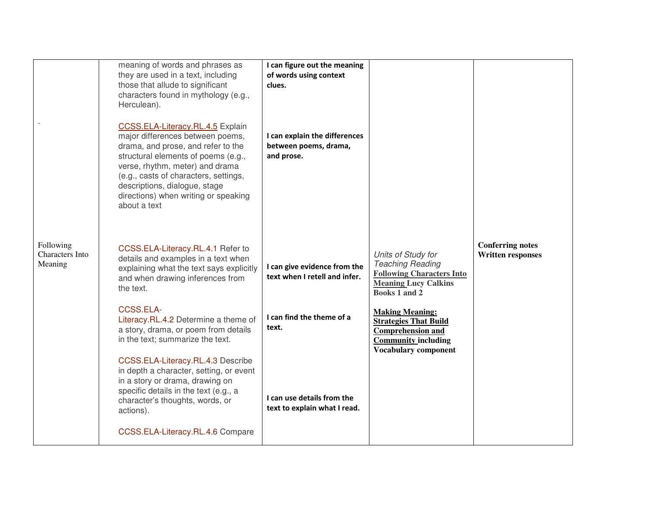|                                         | meaning of words and phrases as<br>they are used in a text, including<br>those that allude to significant<br>characters found in mythology (e.g.,<br>Herculean).<br>CCSS.ELA-Literacy.RL.4.5 Explain<br>major differences between poems,<br>drama, and prose, and refer to the<br>structural elements of poems (e.g.,<br>verse, rhythm, meter) and drama<br>(e.g., casts of characters, settings,<br>descriptions, dialogue, stage<br>directions) when writing or speaking<br>about a text | I can figure out the meaning<br>of words using context<br>clues.<br>I can explain the differences<br>between poems, drama,<br>and prose. |                                                                                                                                                 |                                                     |
|-----------------------------------------|--------------------------------------------------------------------------------------------------------------------------------------------------------------------------------------------------------------------------------------------------------------------------------------------------------------------------------------------------------------------------------------------------------------------------------------------------------------------------------------------|------------------------------------------------------------------------------------------------------------------------------------------|-------------------------------------------------------------------------------------------------------------------------------------------------|-----------------------------------------------------|
| Following<br>Characters Into<br>Meaning | CCSS.ELA-Literacy.RL.4.1 Refer to<br>details and examples in a text when<br>explaining what the text says explicitly<br>and when drawing inferences from<br>the text.                                                                                                                                                                                                                                                                                                                      | I can give evidence from the<br>text when I retell and infer.                                                                            | Units of Study for<br><b>Teaching Reading</b><br><b>Following Characters Into</b><br><b>Meaning Lucy Calkins</b><br>Books 1 and 2               | <b>Conferring notes</b><br><b>Written responses</b> |
|                                         | CCSS.ELA-<br>Literacy.RL.4.2 Determine a theme of<br>a story, drama, or poem from details<br>in the text; summarize the text.                                                                                                                                                                                                                                                                                                                                                              | I can find the theme of a<br>text.                                                                                                       | <b>Making Meaning:</b><br><b>Strategies That Build</b><br><b>Comprehension and</b><br><b>Community including</b><br><b>Vocabulary component</b> |                                                     |
|                                         | CCSS.ELA-Literacy.RL.4.3 Describe<br>in depth a character, setting, or event<br>in a story or drama, drawing on<br>specific details in the text (e.g., a<br>character's thoughts, words, or<br>actions).                                                                                                                                                                                                                                                                                   | I can use details from the<br>text to explain what I read.                                                                               |                                                                                                                                                 |                                                     |
|                                         | CCSS.ELA-Literacy.RL.4.6 Compare                                                                                                                                                                                                                                                                                                                                                                                                                                                           |                                                                                                                                          |                                                                                                                                                 |                                                     |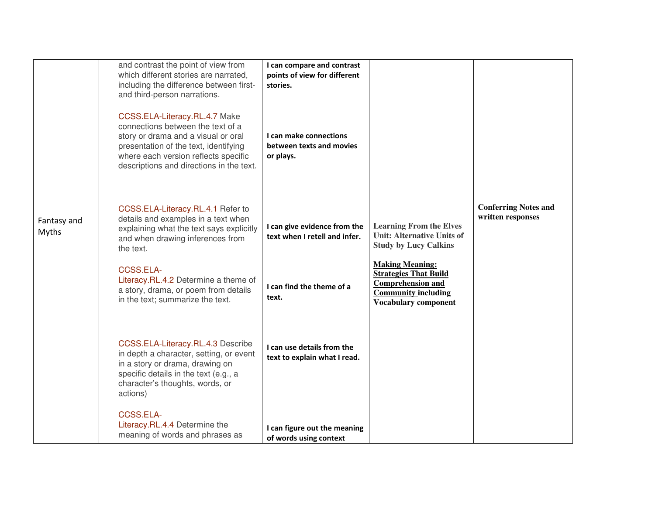|                      | and contrast the point of view from<br>which different stories are narrated,<br>including the difference between first-<br>and third-person narrations.                                                                                | I can compare and contrast<br>points of view for different<br>stories. |                                                                                                                                                 |                                                  |
|----------------------|----------------------------------------------------------------------------------------------------------------------------------------------------------------------------------------------------------------------------------------|------------------------------------------------------------------------|-------------------------------------------------------------------------------------------------------------------------------------------------|--------------------------------------------------|
|                      | CCSS.ELA-Literacy.RL.4.7 Make<br>connections between the text of a<br>story or drama and a visual or oral<br>presentation of the text, identifying<br>where each version reflects specific<br>descriptions and directions in the text. | I can make connections<br>between texts and movies<br>or plays.        |                                                                                                                                                 |                                                  |
| Fantasy and<br>Myths | CCSS.ELA-Literacy.RL.4.1 Refer to<br>details and examples in a text when<br>explaining what the text says explicitly<br>and when drawing inferences from<br>the text.                                                                  | I can give evidence from the<br>text when I retell and infer.          | <b>Learning From the Elves</b><br><b>Unit: Alternative Units of</b><br><b>Study by Lucy Calkins</b>                                             | <b>Conferring Notes and</b><br>written responses |
|                      | <b>CCSS.ELA-</b><br>Literacy.RL.4.2 Determine a theme of<br>a story, drama, or poem from details<br>in the text; summarize the text.                                                                                                   | I can find the theme of a<br>text.                                     | <b>Making Meaning:</b><br><b>Strategies That Build</b><br><b>Comprehension and</b><br><b>Community including</b><br><b>Vocabulary component</b> |                                                  |
|                      | CCSS.ELA-Literacy.RL.4.3 Describe<br>in depth a character, setting, or event<br>in a story or drama, drawing on<br>specific details in the text (e.g., a<br>character's thoughts, words, or<br>actions)                                | I can use details from the<br>text to explain what I read.             |                                                                                                                                                 |                                                  |
|                      | <b>CCSS.ELA-</b><br>Literacy.RL.4.4 Determine the<br>meaning of words and phrases as                                                                                                                                                   | I can figure out the meaning<br>of words using context                 |                                                                                                                                                 |                                                  |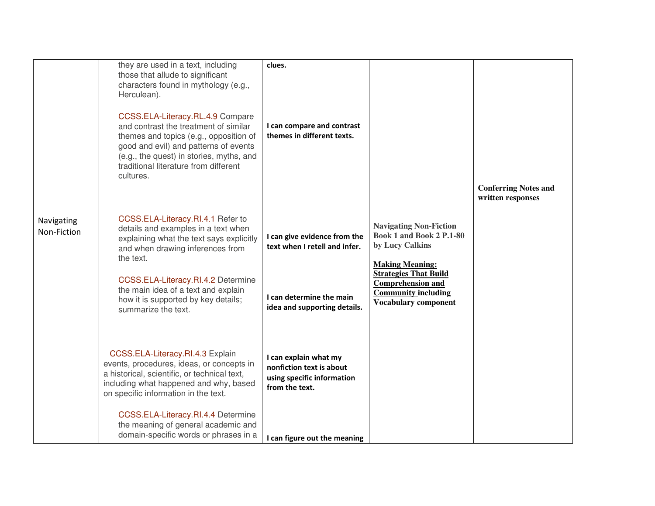|                           | they are used in a text, including<br>those that allude to significant<br>characters found in mythology (e.g.,<br>Herculean).<br>CCSS.ELA-Literacy.RL.4.9 Compare<br>and contrast the treatment of similar<br>themes and topics (e.g., opposition of<br>good and evil) and patterns of events<br>(e.g., the quest) in stories, myths, and<br>traditional literature from different<br>cultures. | clues.<br>I can compare and contrast<br>themes in different texts.                                |                                                                                                                       | <b>Conferring Notes and</b><br>written responses |
|---------------------------|-------------------------------------------------------------------------------------------------------------------------------------------------------------------------------------------------------------------------------------------------------------------------------------------------------------------------------------------------------------------------------------------------|---------------------------------------------------------------------------------------------------|-----------------------------------------------------------------------------------------------------------------------|--------------------------------------------------|
| Navigating<br>Non-Fiction | CCSS.ELA-Literacy.RI.4.1 Refer to<br>details and examples in a text when<br>explaining what the text says explicitly<br>and when drawing inferences from<br>the text.                                                                                                                                                                                                                           | I can give evidence from the<br>text when I retell and infer.                                     | <b>Navigating Non-Fiction</b><br><b>Book 1 and Book 2 P.1-80</b><br>by Lucy Calkins<br><b>Making Meaning:</b>         |                                                  |
|                           | CCSS.ELA-Literacy.RI.4.2 Determine<br>the main idea of a text and explain<br>how it is supported by key details;<br>summarize the text.                                                                                                                                                                                                                                                         | I can determine the main<br>idea and supporting details.                                          | <b>Strategies That Build</b><br><b>Comprehension and</b><br><b>Community including</b><br><b>Vocabulary component</b> |                                                  |
|                           | CCSS.ELA-Literacy.RI.4.3 Explain<br>events, procedures, ideas, or concepts in<br>a historical, scientific, or technical text,<br>including what happened and why, based<br>on specific information in the text.                                                                                                                                                                                 | I can explain what my<br>nonfiction text is about<br>using specific information<br>from the text. |                                                                                                                       |                                                  |
|                           | CCSS.ELA-Literacy.RI.4.4 Determine<br>the meaning of general academic and<br>domain-specific words or phrases in a                                                                                                                                                                                                                                                                              | I can figure out the meaning                                                                      |                                                                                                                       |                                                  |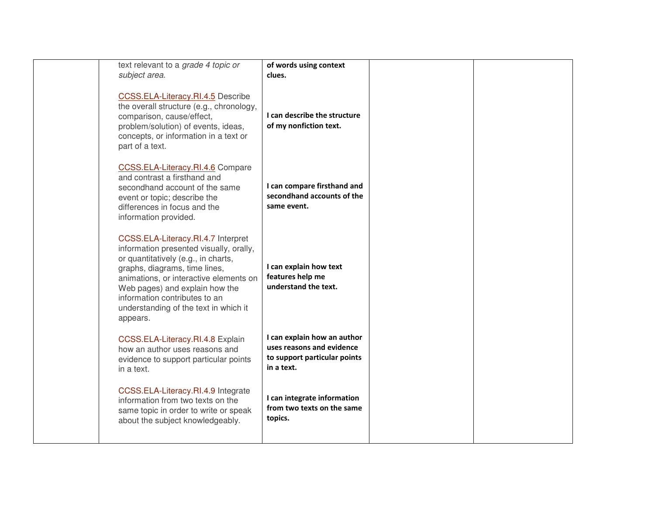| text relevant to a grade 4 topic or<br>subject area.                                                                                                                                                                                                                                                                    | of words using context<br>clues.                                                                       |  |
|-------------------------------------------------------------------------------------------------------------------------------------------------------------------------------------------------------------------------------------------------------------------------------------------------------------------------|--------------------------------------------------------------------------------------------------------|--|
| CCSS.ELA-Literacy.RI.4.5 Describe<br>the overall structure (e.g., chronology,<br>comparison, cause/effect,<br>problem/solution) of events, ideas,<br>concepts, or information in a text or<br>part of a text.                                                                                                           | I can describe the structure<br>of my nonfiction text.                                                 |  |
| CCSS.ELA-Literacy.RI.4.6 Compare<br>and contrast a firsthand and<br>secondhand account of the same<br>event or topic; describe the<br>differences in focus and the<br>information provided.                                                                                                                             | I can compare firsthand and<br>secondhand accounts of the<br>same event.                               |  |
| CCSS.ELA-Literacy.RI.4.7 Interpret<br>information presented visually, orally,<br>or quantitatively (e.g., in charts,<br>graphs, diagrams, time lines,<br>animations, or interactive elements on<br>Web pages) and explain how the<br>information contributes to an<br>understanding of the text in which it<br>appears. | I can explain how text<br>features help me<br>understand the text.                                     |  |
| CCSS.ELA-Literacy.RI.4.8 Explain<br>how an author uses reasons and<br>evidence to support particular points<br>in a text.                                                                                                                                                                                               | I can explain how an author<br>uses reasons and evidence<br>to support particular points<br>in a text. |  |
| CCSS.ELA-Literacy.RI.4.9 Integrate<br>information from two texts on the<br>same topic in order to write or speak<br>about the subject knowledgeably.                                                                                                                                                                    | I can integrate information<br>from two texts on the same<br>topics.                                   |  |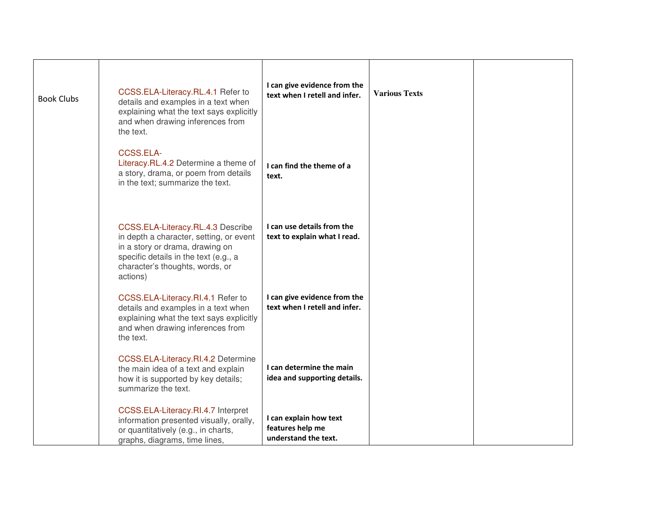| <b>Book Clubs</b> | CCSS.ELA-Literacy.RL.4.1 Refer to<br>details and examples in a text when<br>explaining what the text says explicitly<br>and when drawing inferences from<br>the text.                                   | I can give evidence from the<br>text when I retell and infer.      | <b>Various Texts</b> |  |
|-------------------|---------------------------------------------------------------------------------------------------------------------------------------------------------------------------------------------------------|--------------------------------------------------------------------|----------------------|--|
|                   | CCSS.ELA-<br>Literacy.RL.4.2 Determine a theme of<br>a story, drama, or poem from details<br>in the text; summarize the text.                                                                           | I can find the theme of a<br>text.                                 |                      |  |
|                   | CCSS.ELA-Literacy.RL.4.3 Describe<br>in depth a character, setting, or event<br>in a story or drama, drawing on<br>specific details in the text (e.g., a<br>character's thoughts, words, or<br>actions) | I can use details from the<br>text to explain what I read.         |                      |  |
|                   | CCSS.ELA-Literacy.RI.4.1 Refer to<br>details and examples in a text when<br>explaining what the text says explicitly<br>and when drawing inferences from<br>the text.                                   | I can give evidence from the<br>text when I retell and infer.      |                      |  |
|                   | CCSS.ELA-Literacy.RI.4.2 Determine<br>the main idea of a text and explain<br>how it is supported by key details;<br>summarize the text.                                                                 | I can determine the main<br>idea and supporting details.           |                      |  |
|                   | CCSS.ELA-Literacy.RI.4.7 Interpret<br>information presented visually, orally,<br>or quantitatively (e.g., in charts,<br>graphs, diagrams, time lines,                                                   | I can explain how text<br>features help me<br>understand the text. |                      |  |